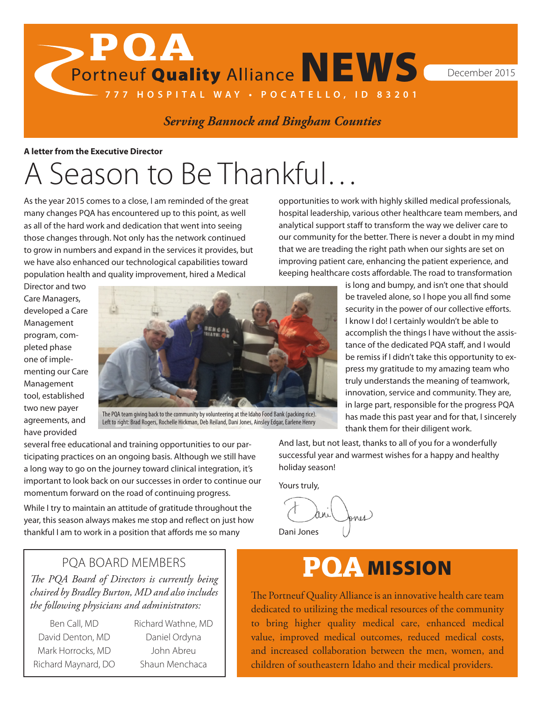Portneuf Quality Alliance NEWS December 2015

# *Serving Bannock and Bingham Counties*

**777 HOSPITAL WAY • POCATELLO, ID 83201**

**A letter from the Executive Director**

 $\rightarrow$  POA

# A Season to Be Thankful…

As the year 2015 comes to a close, I am reminded of the great many changes PQA has encountered up to this point, as well as all of the hard work and dedication that went into seeing those changes through. Not only has the network continued to grow in numbers and expand in the services it provides, but we have also enhanced our technological capabilities toward population health and quality improvement, hired a Medical

opportunities to work with highly skilled medical professionals, hospital leadership, various other healthcare team members, and analytical support staff to transform the way we deliver care to our community for the better. There is never a doubt in my mind that we are treading the right path when our sights are set on improving patient care, enhancing the patient experience, and keeping healthcare costs affordable. The road to transformation

Director and two Care Managers, developed a Care Management program, completed phase one of implementing our Care Management tool, established two new payer agreements, and have provided



Left to right: Brad Rogers, Rochelle Hickman, Deb Reiland, Dani Jones, Ainsley Edgar, Earlene Henry

is long and bumpy, and isn't one that should be traveled alone, so I hope you all find some security in the power of our collective efforts. I know I do! I certainly wouldn't be able to accomplish the things I have without the assistance of the dedicated PQA staff, and I would be remiss if I didn't take this opportunity to express my gratitude to my amazing team who truly understands the meaning of teamwork, innovation, service and community. They are, in large part, responsible for the progress PQA has made this past year and for that, I sincerely thank them for their diligent work.

several free educational and training opportunities to our participating practices on an ongoing basis. Although we still have a long way to go on the journey toward clinical integration, it's important to look back on our successes in order to continue our momentum forward on the road of continuing progress.

While I try to maintain an attitude of gratitude throughout the year, this season always makes me stop and reflect on just how thankful I am to work in a position that affords me so many

And last, but not least, thanks to all of you for a wonderfully successful year and warmest wishes for a happy and healthy holiday season!

Yours truly,

Jones Dani Jones

# PQA MISSION

The Portneuf Quality Alliance is an innovative health care team dedicated to utilizing the medical resources of the community to bring higher quality medical care, enhanced medical value, improved medical outcomes, reduced medical costs, and increased collaboration between the men, women, and children of southeastern Idaho and their medical providers.

# PQA BOARD MEMBERS

*The PQA Board of Directors is currently being chaired by Bradley Burton, MD and also includes the following physicians and administrators:*

Ben Call, MD David Denton, MD Mark Horrocks, MD Richard Maynard, DO Richard Wathne, MD Daniel Ordyna John Abreu Shaun Menchaca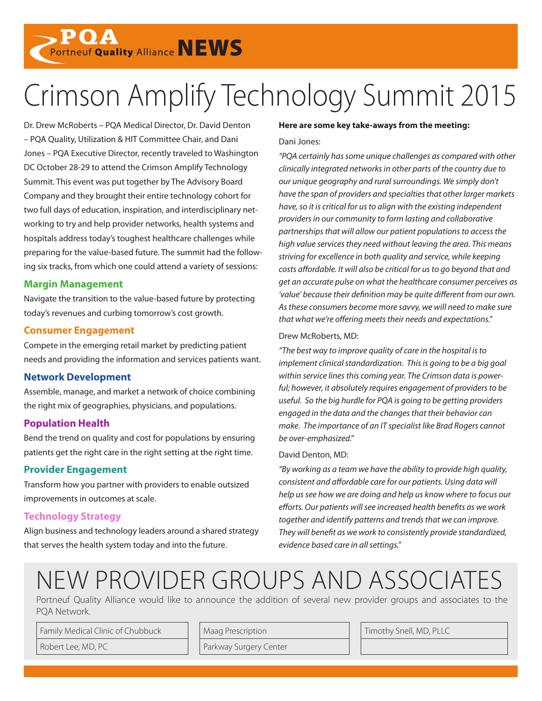**POA**<br>Portneuf Quality Alliance NEWS

# Crimson Amplify Technology Summit 2015

Dr. Drew McRoberts – PQA Medical Director, Dr. David Denton – PQA Quality, Utilization & HIT Committee Chair, and Dani Jones – PQA Executive Director, recently traveled to Washington DC October 28-29 to attend the Crimson Amplify Technology Summit. This event was put together by The Advisory Board Company and they brought their entire technology cohort for two full days of education, inspiration, and interdisciplinary networking to try and help provider networks, health systems and hospitals address today's toughest healthcare challenges while preparing for the value-based future. The summit had the following six tracks, from which one could attend a variety of sessions:

# **Margin Management**

Navigate the transition to the value-based future by protecting today's revenues and curbing tomorrow's cost growth.

# **Consumer Engagement**

Compete in the emerging retail market by predicting patient needs and providing the information and services patients want.

# **Network Development**

Assemble, manage, and market a network of choice combining the right mix of geographies, physicians, and populations.

# **Population Health**

Bend the trend on quality and cost for populations by ensuring patients get the right care in the right setting at the right time.

# **Provider Engagement**

Transform how you partner with providers to enable outsized improvements in outcomes at scale.

# **Technology Strategy**

Align business and technology leaders around a shared strategy that serves the health system today and into the future.

#### **Here are some key take-aways from the meeting:**

#### Dani Jones:

*"PQA certainly has some unique challenges as compared with other clinically integrated networks in other parts of the country due to our unique geography and rural surroundings. We simply don't have the span of providers and specialties that other larger markets have, so it is critical for us to align with the existing independent providers in our community to form lasting and collaborative partnerships that will allow our patient populations to access the high value services they need without leaving the area. This means striving for excellence in both quality and service, while keeping costs affordable. It will also be critical for us to go beyond that and get an accurate pulse on what the healthcare consumer perceives as 'value' because their definition may be quite different from our own. As these consumers become more savvy, we will need to make sure that what we're offering meets their needs and expectations."* 

### Drew McRoberts, MD:

*"The best way to improve quality of care in the hospital is to implement clinical standardization. This is going to be a big goal within service lines this coming year. The Crimson data is powerful; however, it absolutely requires engagement of providers to be useful. So the big hurdle for PQA is going to be getting providers engaged in the data and the changes that their behavior can make. The importance of an IT specialist like Brad Rogers cannot be over-emphasized."*

### David Denton, MD:

*"By working as a team we have the ability to provide high quality, consistent and affordable care for our patients. Using data will help us see how we are doing and help us know where to focus our efforts. Our patients will see increased health benefits as we work together and identify patterns and trends that we can improve. They will benefit as we work to consistently provide standardized, evidence based care in all settings."*

# NEW PROVIDER GROUPS AND ASSOCIATES

Portneuf Quality Alliance would like to announce the addition of several new provider groups and associates to the PQA Network.

Family Medical Clinic of Chubbuck Maag Prescription Manuson Magnetic Manuson Magnetic Magnetic McD, PLLC

Robert Lee, MD, PC Parkway Surgery Center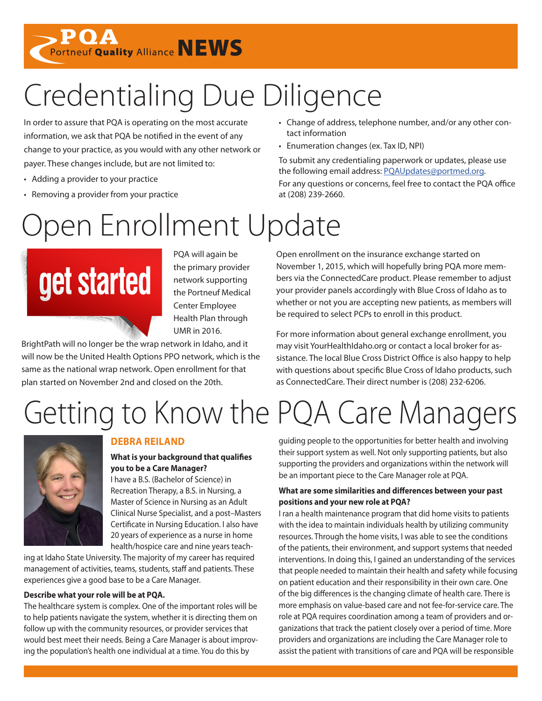**POA**<br>Portneuf Quality Alliance NEWS

# Credentialing Due Diligence

In order to assure that PQA is operating on the most accurate information, we ask that PQA be notified in the event of any change to your practice, as you would with any other network or payer. These changes include, but are not limited to:

- Adding a provider to your practice
- Removing a provider from your practice

# Open Enrollment Update



PQA will again be the primary provider network supporting the Portneuf Medical Center Employee Health Plan through UMR in 2016.

BrightPath will no longer be the wrap network in Idaho, and it will now be the United Health Options PPO network, which is the same as the national wrap network. Open enrollment for that plan started on November 2nd and closed on the 20th.

- Change of address, telephone number, and/or any other contact information
- Enumeration changes (ex. Tax ID, NPI)

To submit any credentialing paperwork or updates, please use the following email address: [PQAUpdates@portmed.org.](mailto:PQAUpdates%40portmed.org?subject=Credentialing%20Updates) For any questions or concerns, feel free to contact the PQA office at (208) 239-2660.

Open enrollment on the insurance exchange started on November 1, 2015, which will hopefully bring PQA more members via the ConnectedCare product. Please remember to adjust your provider panels accordingly with Blue Cross of Idaho as to whether or not you are accepting new patients, as members will be required to select PCPs to enroll in this product.

For more information about general exchange enrollment, you may visit YourHealthIdaho.org or contact a local broker for assistance. The local Blue Cross District Office is also happy to help with questions about specific Blue Cross of Idaho products, such as ConnectedCare. Their direct number is (208) 232-6206.

# Getting to Know the PQA Care Managers



# **DEBRA REILAND**

**What is your background that qualifies you to be a Care Manager?**

I have a B.S. (Bachelor of Science) in Recreation Therapy, a B.S. in Nursing, a Master of Science in Nursing as an Adult Clinical Nurse Specialist, and a post–Masters Certificate in Nursing Education. I also have 20 years of experience as a nurse in home health/hospice care and nine years teach-

ing at Idaho State University. The majority of my career has required management of activities, teams, students, staff and patients. These experiences give a good base to be a Care Manager.

# **Describe what your role will be at PQA.**

The healthcare system is complex. One of the important roles will be to help patients navigate the system, whether it is directing them on follow up with the community resources, or provider services that would best meet their needs. Being a Care Manager is about improving the population's health one individual at a time. You do this by

guiding people to the opportunities for better health and involving their support system as well. Not only supporting patients, but also supporting the providers and organizations within the network will be an important piece to the Care Manager role at PQA.

## **What are some similarities and differences between your past positions and your new role at PQA?**

I ran a health maintenance program that did home visits to patients with the idea to maintain individuals health by utilizing community resources. Through the home visits, I was able to see the conditions of the patients, their environment, and support systems that needed interventions. In doing this, I gained an understanding of the services that people needed to maintain their health and safety while focusing on patient education and their responsibility in their own care. One of the big differences is the changing climate of health care. There is more emphasis on value-based care and not fee-for-service care. The role at PQA requires coordination among a team of providers and organizations that track the patient closely over a period of time. More providers and organizations are including the Care Manager role to assist the patient with transitions of care and PQA will be responsible